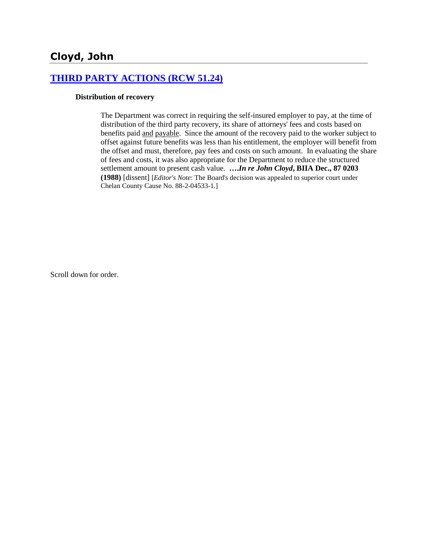# **[THIRD PARTY ACTIONS \(RCW 51.24\)](http://www.biia.wa.gov/SDSubjectIndex.html#THIRD_PARTY_ACTIONS)**

#### **Distribution of recovery**

The Department was correct in requiring the self-insured employer to pay, at the time of distribution of the third party recovery, its share of attorneys' fees and costs based on benefits paid and payable. Since the amount of the recovery paid to the worker subject to offset against future benefits was less than his entitlement, the employer will benefit from the offset and must, therefore, pay fees and costs on such amount. In evaluating the share of fees and costs, it was also appropriate for the Department to reduce the structured settlement amount to present cash value. **….***In re John Cloyd***, BIIA Dec., 87 0203 (1988)** [dissent] [*Editor's Note*: The Board's decision was appealed to superior court under Chelan County Cause No. 88-2-04533-1.]

Scroll down for order.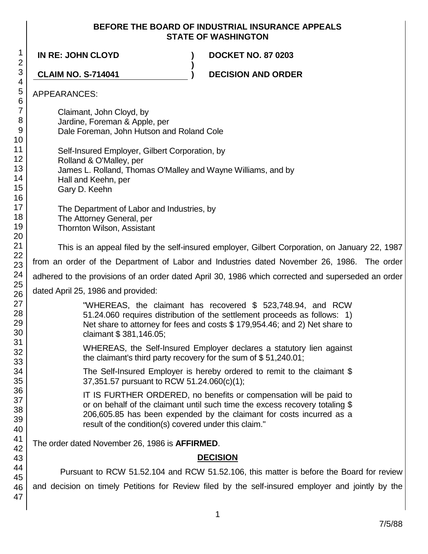### **BEFORE THE BOARD OF INDUSTRIAL INSURANCE APPEALS STATE OF WASHINGTON**

**)**

**IN RE: JOHN CLOYD ) DOCKET NO. 87 0203**

**CLAIM NO. S-714041 ) DECISION AND ORDER**

### APPEARANCES:

Claimant, John Cloyd, by Jardine, Foreman & Apple, per Dale Foreman, John Hutson and Roland Cole

Self-Insured Employer, Gilbert Corporation, by Rolland & O'Malley, per James L. Rolland, Thomas O'Malley and Wayne Williams, and by Hall and Keehn, per

Gary D. Keehn

The Department of Labor and Industries, by The Attorney General, per Thornton Wilson, Assistant

This is an appeal filed by the self-insured employer, Gilbert Corporation, on January 22, 1987

from an order of the Department of Labor and Industries dated November 26, 1986. The order

adhered to the provisions of an order dated April 30, 1986 which corrected and superseded an order

dated April 25, 1986 and provided:

"WHEREAS, the claimant has recovered \$ 523,748.94, and RCW 51.24.060 requires distribution of the settlement proceeds as follows: 1) Net share to attorney for fees and costs \$ 179,954.46; and 2) Net share to claimant \$ 381,146.05;

WHEREAS, the Self-Insured Employer declares a statutory lien against the claimant's third party recovery for the sum of \$ 51,240.01;

The Self-Insured Employer is hereby ordered to remit to the claimant \$ 37,351.57 pursuant to RCW 51.24.060(c)(1);

IT IS FURTHER ORDERED, no benefits or compensation will be paid to or on behalf of the claimant until such time the excess recovery totaling \$ 206,605.85 has been expended by the claimant for costs incurred as a result of the condition(s) covered under this claim."

The order dated November 26, 1986 is **AFFIRMED**.

# **DECISION**

Pursuant to RCW 51.52.104 and RCW 51.52.106, this matter is before the Board for review and decision on timely Petitions for Review filed by the self-insured employer and jointly by the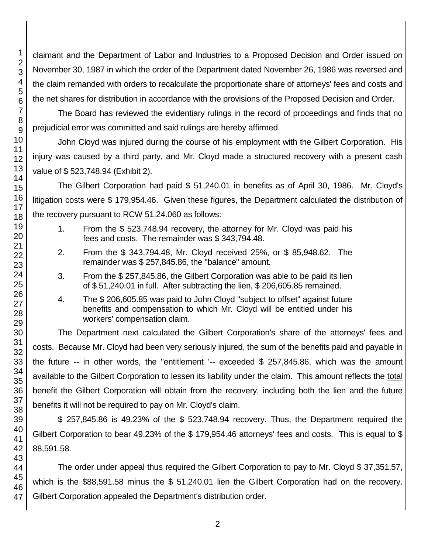claimant and the Department of Labor and Industries to a Proposed Decision and Order issued on November 30, 1987 in which the order of the Department dated November 26, 1986 was reversed and the claim remanded with orders to recalculate the proportionate share of attorneys' fees and costs and the net shares for distribution in accordance with the provisions of the Proposed Decision and Order.

The Board has reviewed the evidentiary rulings in the record of proceedings and finds that no prejudicial error was committed and said rulings are hereby affirmed.

John Cloyd was injured during the course of his employment with the Gilbert Corporation. His injury was caused by a third party, and Mr. Cloyd made a structured recovery with a present cash value of \$ 523,748.94 (Exhibit 2).

The Gilbert Corporation had paid \$ 51,240.01 in benefits as of April 30, 1986. Mr. Cloyd's litigation costs were \$ 179,954.46. Given these figures, the Department calculated the distribution of the recovery pursuant to RCW 51.24.060 as follows:

- 1. From the \$ 523,748.94 recovery, the attorney for Mr. Cloyd was paid his fees and costs. The remainder was \$ 343,794.48.
- 2. From the \$ 343,794.48, Mr. Cloyd received 25%, or \$ 85,948.62. The remainder was \$ 257,845.86, the "balance" amount.
- 3. From the \$ 257,845.86, the Gilbert Corporation was able to be paid its lien of \$ 51,240.01 in full. After subtracting the lien, \$ 206,605.85 remained.
- 4. The \$ 206,605.85 was paid to John Cloyd "subject to offset" against future benefits and compensation to which Mr. Cloyd will be entitled under his workers' compensation claim.

The Department next calculated the Gilbert Corporation's share of the attorneys' fees and costs. Because Mr. Cloyd had been very seriously injured, the sum of the benefits paid and payable in the future -- in other words, the "entitlement '-- exceeded \$ 257,845.86, which was the amount available to the Gilbert Corporation to lessen its liability under the claim. This amount reflects the total benefit the Gilbert Corporation will obtain from the recovery, including both the lien and the future benefits it will not be required to pay on Mr. Cloyd's claim.

\$ 257,845.86 is 49.23% of the \$ 523,748.94 recovery. Thus, the Department required the Gilbert Corporation to bear 49.23% of the \$ 179,954.46 attorneys' fees and costs. This is equal to \$ 88,591.58.

The order under appeal thus required the Gilbert Corporation to pay to Mr. Cloyd \$ 37,351.57, which is the \$88,591.58 minus the \$ 51,240.01 lien the Gilbert Corporation had on the recovery. Gilbert Corporation appealed the Department's distribution order.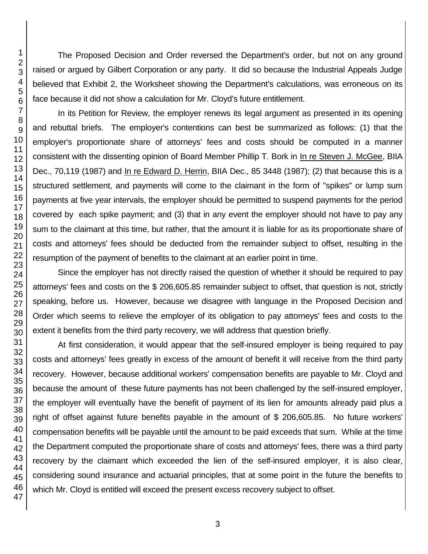The Proposed Decision and Order reversed the Department's order, but not on any ground raised or argued by Gilbert Corporation or any party. It did so because the Industrial Appeals Judge believed that Exhibit 2, the Worksheet showing the Department's calculations, was erroneous on its face because it did not show a calculation for Mr. Cloyd's future entitlement.

In its Petition for Review, the employer renews its legal argument as presented in its opening and rebuttal briefs. The employer's contentions can best be summarized as follows: (1) that the employer's proportionate share of attorneys' fees and costs should be computed in a manner consistent with the dissenting opinion of Board Member Phillip T. Bork in In re Steven J. McGee, BIIA Dec., 70,119 (1987) and In re Edward D. Herrin, BIIA Dec., 85 3448 (1987); (2) that because this is a structured settlement, and payments will come to the claimant in the form of "spikes" or lump sum payments at five year intervals, the employer should be permitted to suspend payments for the period covered by each spike payment; and (3) that in any event the employer should not have to pay any sum to the claimant at this time, but rather, that the amount it is liable for as its proportionate share of costs and attorneys' fees should be deducted from the remainder subject to offset, resulting in the resumption of the payment of benefits to the claimant at an earlier point in time.

Since the employer has not directly raised the question of whether it should be required to pay attorneys' fees and costs on the \$ 206,605.85 remainder subject to offset, that question is not, strictly speaking, before us. However, because we disagree with language in the Proposed Decision and Order which seems to relieve the employer of its obligation to pay attorneys' fees and costs to the extent it benefits from the third party recovery, we will address that question briefly.

At first consideration, it would appear that the self-insured employer is being required to pay costs and attorneys' fees greatly in excess of the amount of benefit it will receive from the third party recovery. However, because additional workers' compensation benefits are payable to Mr. Cloyd and because the amount of these future payments has not been challenged by the self-insured employer, the employer will eventually have the benefit of payment of its lien for amounts already paid plus a right of offset against future benefits payable in the amount of \$ 206,605.85. No future workers' compensation benefits will be payable until the amount to be paid exceeds that sum. While at the time the Department computed the proportionate share of costs and attorneys' fees, there was a third party recovery by the claimant which exceeded the lien of the self-insured employer, it is also clear, considering sound insurance and actuarial principles, that at some point in the future the benefits to which Mr. Cloyd is entitled will exceed the present excess recovery subject to offset.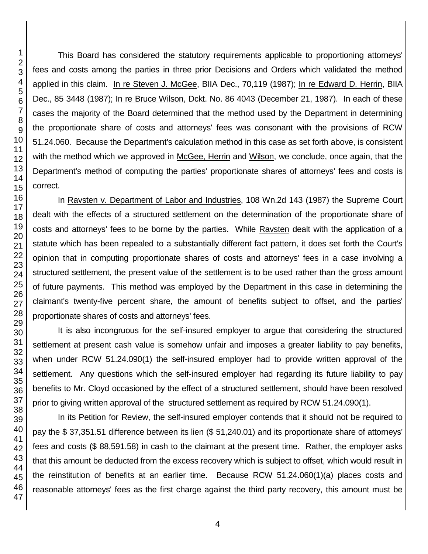This Board has considered the statutory requirements applicable to proportioning attorneys' fees and costs among the parties in three prior Decisions and Orders which validated the method applied in this claim. In re Steven J. McGee, BIIA Dec., 70,119 (1987); In re Edward D. Herrin, BIIA Dec., 85 3448 (1987); In re Bruce Wilson, Dckt. No. 86 4043 (December 21, 1987). In each of these cases the majority of the Board determined that the method used by the Department in determining the proportionate share of costs and attorneys' fees was consonant with the provisions of RCW 51.24.060. Because the Department's calculation method in this case as set forth above, is consistent with the method which we approved in McGee, Herrin and Wilson, we conclude, once again, that the Department's method of computing the parties' proportionate shares of attorneys' fees and costs is correct.

In Ravsten v. Department of Labor and Industries, 108 Wn.2d 143 (1987) the Supreme Court dealt with the effects of a structured settlement on the determination of the proportionate share of costs and attorneys' fees to be borne by the parties. While Ravsten dealt with the application of a statute which has been repealed to a substantially different fact pattern, it does set forth the Court's opinion that in computing proportionate shares of costs and attorneys' fees in a case involving a structured settlement, the present value of the settlement is to be used rather than the gross amount of future payments. This method was employed by the Department in this case in determining the claimant's twenty-five percent share, the amount of benefits subject to offset, and the parties' proportionate shares of costs and attorneys' fees.

It is also incongruous for the self-insured employer to argue that considering the structured settlement at present cash value is somehow unfair and imposes a greater liability to pay benefits, when under RCW 51.24.090(1) the self-insured employer had to provide written approval of the settlement. Any questions which the self-insured employer had regarding its future liability to pay benefits to Mr. Cloyd occasioned by the effect of a structured settlement, should have been resolved prior to giving written approval of the structured settlement as required by RCW 51.24.090(1).

In its Petition for Review, the self-insured employer contends that it should not be required to pay the \$ 37,351.51 difference between its lien (\$ 51,240.01) and its proportionate share of attorneys' fees and costs (\$ 88,591.58) in cash to the claimant at the present time. Rather, the employer asks that this amount be deducted from the excess recovery which is subject to offset, which would result in the reinstitution of benefits at an earlier time. Because RCW 51.24.060(1)(a) places costs and reasonable attorneys' fees as the first charge against the third party recovery, this amount must be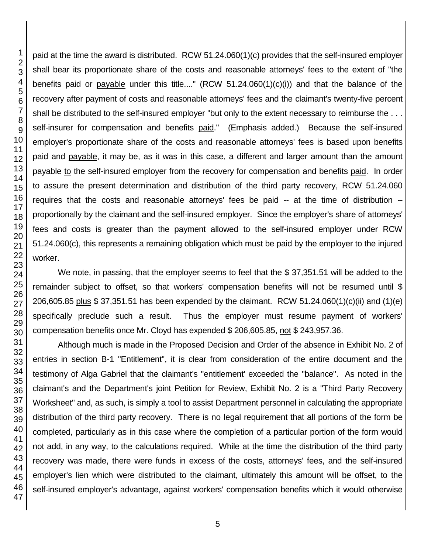paid at the time the award is distributed. RCW 51.24.060(1)(c) provides that the self-insured employer shall bear its proportionate share of the costs and reasonable attorneys' fees to the extent of "the benefits paid or payable under this title...." (RCW 51.24.060(1)(c)(i)) and that the balance of the recovery after payment of costs and reasonable attorneys' fees and the claimant's twenty-five percent shall be distributed to the self-insured employer "but only to the extent necessary to reimburse the . . . self-insurer for compensation and benefits paid." (Emphasis added.) Because the self-insured employer's proportionate share of the costs and reasonable attorneys' fees is based upon benefits paid and payable, it may be, as it was in this case, a different and larger amount than the amount payable to the self-insured employer from the recovery for compensation and benefits paid. In order to assure the present determination and distribution of the third party recovery, RCW 51.24.060 requires that the costs and reasonable attorneys' fees be paid -- at the time of distribution - proportionally by the claimant and the self-insured employer. Since the employer's share of attorneys' fees and costs is greater than the payment allowed to the self-insured employer under RCW 51.24.060(c), this represents a remaining obligation which must be paid by the employer to the injured worker.

We note, in passing, that the employer seems to feel that the \$37,351.51 will be added to the remainder subject to offset, so that workers' compensation benefits will not be resumed until \$ 206,605.85 plus \$ 37,351.51 has been expended by the claimant. RCW 51.24.060(1)(c)(ii) and (1)(e) specifically preclude such a result. Thus the employer must resume payment of workers' compensation benefits once Mr. Cloyd has expended \$ 206,605.85, not \$ 243,957.36.

Although much is made in the Proposed Decision and Order of the absence in Exhibit No. 2 of entries in section B-1 "Entitlement", it is clear from consideration of the entire document and the testimony of Alga Gabriel that the claimant's "entitlement' exceeded the "balance". As noted in the claimant's and the Department's joint Petition for Review, Exhibit No. 2 is a "Third Party Recovery Worksheet" and, as such, is simply a tool to assist Department personnel in calculating the appropriate distribution of the third party recovery. There is no legal requirement that all portions of the form be completed, particularly as in this case where the completion of a particular portion of the form would not add, in any way, to the calculations required. While at the time the distribution of the third party recovery was made, there were funds in excess of the costs, attorneys' fees, and the self-insured employer's lien which were distributed to the claimant, ultimately this amount will be offset, to the self-insured employer's advantage, against workers' compensation benefits which it would otherwise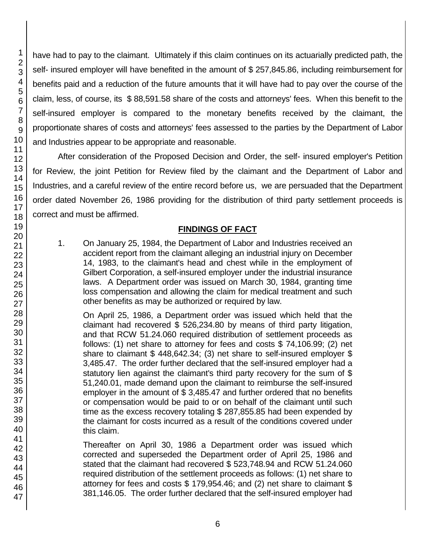have had to pay to the claimant. Ultimately if this claim continues on its actuarially predicted path, the self- insured employer will have benefited in the amount of \$ 257,845.86, including reimbursement for benefits paid and a reduction of the future amounts that it will have had to pay over the course of the claim, less, of course, its \$ 88,591.58 share of the costs and attorneys' fees. When this benefit to the self-insured employer is compared to the monetary benefits received by the claimant, the proportionate shares of costs and attorneys' fees assessed to the parties by the Department of Labor and Industries appear to be appropriate and reasonable.

After consideration of the Proposed Decision and Order, the self- insured employer's Petition for Review, the joint Petition for Review filed by the claimant and the Department of Labor and Industries, and a careful review of the entire record before us, we are persuaded that the Department order dated November 26, 1986 providing for the distribution of third party settlement proceeds is correct and must be affirmed.

## **FINDINGS OF FACT**

1. On January 25, 1984, the Department of Labor and Industries received an accident report from the claimant alleging an industrial injury on December 14, 1983, to the claimant's head and chest while in the employment of Gilbert Corporation, a self-insured employer under the industrial insurance laws. A Department order was issued on March 30, 1984, granting time loss compensation and allowing the claim for medical treatment and such other benefits as may be authorized or required by law.

On April 25, 1986, a Department order was issued which held that the claimant had recovered \$ 526,234.80 by means of third party litigation, and that RCW 51.24.060 required distribution of settlement proceeds as follows: (1) net share to attorney for fees and costs \$ 74,106.99; (2) net share to claimant \$ 448,642.34; (3) net share to self-insured employer \$ 3,485.47. The order further declared that the self-insured employer had a statutory lien against the claimant's third party recovery for the sum of \$ 51,240.01, made demand upon the claimant to reimburse the self-insured employer in the amount of \$ 3,485.47 and further ordered that no benefits or compensation would be paid to or on behalf of the claimant until such time as the excess recovery totaling \$ 287,855.85 had been expended by the claimant for costs incurred as a result of the conditions covered under this claim.

Thereafter on April 30, 1986 a Department order was issued which corrected and superseded the Department order of April 25, 1986 and stated that the claimant had recovered \$ 523,748.94 and RCW 51.24.060 required distribution of the settlement proceeds as follows: (1) net share to attorney for fees and costs \$ 179,954.46; and (2) net share to claimant \$ 381,146.05. The order further declared that the self-insured employer had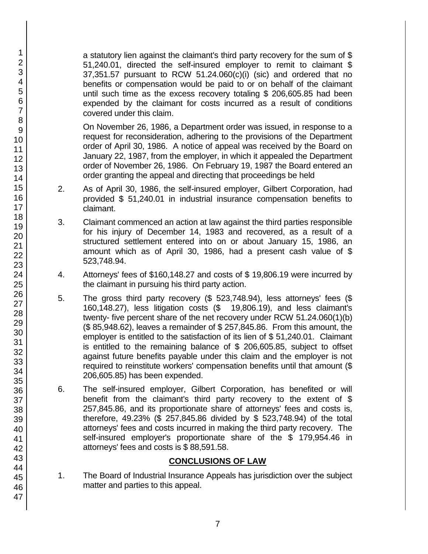a statutory lien against the claimant's third party recovery for the sum of \$ 51,240.01, directed the self-insured employer to remit to claimant \$ 37,351.57 pursuant to RCW 51.24.060(c)(i) (sic) and ordered that no benefits or compensation would be paid to or on behalf of the claimant until such time as the excess recovery totaling \$ 206,605.85 had been expended by the claimant for costs incurred as a result of conditions covered under this claim.

On November 26, 1986, a Department order was issued, in response to a request for reconsideration, adhering to the provisions of the Department order of April 30, 1986. A notice of appeal was received by the Board on January 22, 1987, from the employer, in which it appealed the Department order of November 26, 1986. On February 19, 1987 the Board entered an order granting the appeal and directing that proceedings be held

- 2. As of April 30, 1986, the self-insured employer, Gilbert Corporation, had provided \$ 51,240.01 in industrial insurance compensation benefits to claimant.
- 3. Claimant commenced an action at law against the third parties responsible for his injury of December 14, 1983 and recovered, as a result of a structured settlement entered into on or about January 15, 1986, an amount which as of April 30, 1986, had a present cash value of \$ 523,748.94.
- 4. Attorneys' fees of \$160,148.27 and costs of \$ 19,806.19 were incurred by the claimant in pursuing his third party action.
- 5. The gross third party recovery (\$ 523,748.94), less attorneys' fees (\$ 160,148.27), less litigation costs (\$ 19,806.19), and less claimant's twenty- five percent share of the net recovery under RCW 51.24.060(1)(b) (\$ 85,948.62), leaves a remainder of \$ 257,845.86. From this amount, the employer is entitled to the satisfaction of its lien of \$ 51,240.01. Claimant is entitled to the remaining balance of \$ 206,605.85, subject to offset against future benefits payable under this claim and the employer is not required to reinstitute workers' compensation benefits until that amount (\$ 206,605.85) has been expended.
- 6. The self-insured employer, Gilbert Corporation, has benefited or will benefit from the claimant's third party recovery to the extent of \$ 257,845.86, and its proportionate share of attorneys' fees and costs is, therefore, 49.23% (\$ 257,845.86 divided by \$ 523,748.94) of the total attorneys' fees and costs incurred in making the third party recovery. The self-insured employer's proportionate share of the \$ 179,954.46 in attorneys' fees and costs is \$ 88,591.58.

# **CONCLUSIONS OF LAW**

1. The Board of Industrial Insurance Appeals has jurisdiction over the subject matter and parties to this appeal.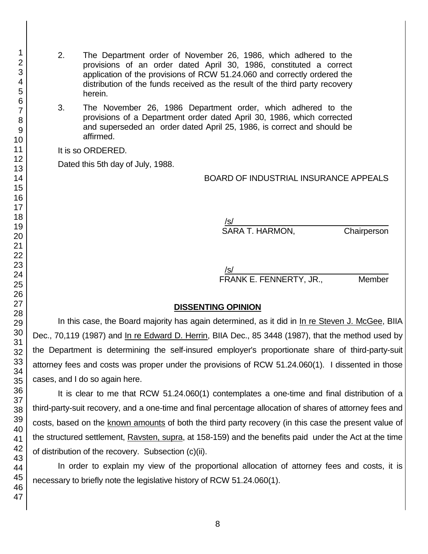- 2. The Department order of November 26, 1986, which adhered to the provisions of an order dated April 30, 1986, constituted a correct application of the provisions of RCW 51.24.060 and correctly ordered the distribution of the funds received as the result of the third party recovery herein.
- 3. The November 26, 1986 Department order, which adhered to the provisions of a Department order dated April 30, 1986, which corrected and superseded an order dated April 25, 1986, is correct and should be affirmed.

It is so ORDERED.

Dated this 5th day of July, 1988.

BOARD OF INDUSTRIAL INSURANCE APPEALS

 $/$ s/ $\sim$ SARA T. HARMON, Chairperson

 $/$ s/ $\sim$ FRANK E. FENNERTY, JR., Member

#### **DISSENTING OPINION**

In this case, the Board majority has again determined, as it did in In re Steven J. McGee, BIIA Dec., 70,119 (1987) and In re Edward D. Herrin, BIIA Dec., 85 3448 (1987), that the method used by the Department is determining the self-insured employer's proportionate share of third-party-suit attorney fees and costs was proper under the provisions of RCW 51.24.060(1). I dissented in those cases, and I do so again here.

It is clear to me that RCW 51.24.060(1) contemplates a one-time and final distribution of a third-party-suit recovery, and a one-time and final percentage allocation of shares of attorney fees and costs, based on the known amounts of both the third party recovery (in this case the present value of the structured settlement, Ravsten, supra, at 158-159) and the benefits paid under the Act at the time of distribution of the recovery. Subsection (c)(ii).

In order to explain my view of the proportional allocation of attorney fees and costs, it is necessary to briefly note the legislative history of RCW 51.24.060(1).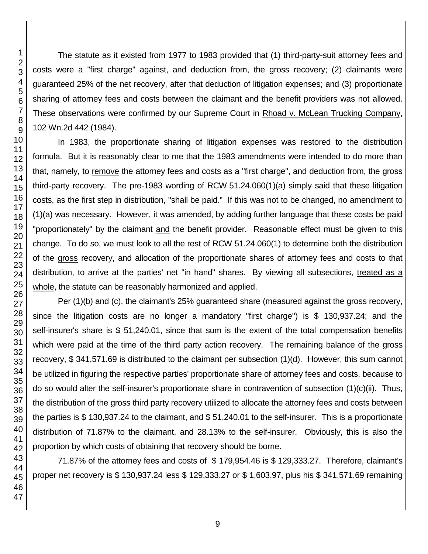The statute as it existed from 1977 to 1983 provided that (1) third-party-suit attorney fees and costs were a "first charge" against, and deduction from, the gross recovery; (2) claimants were guaranteed 25% of the net recovery, after that deduction of litigation expenses; and (3) proportionate sharing of attorney fees and costs between the claimant and the benefit providers was not allowed. These observations were confirmed by our Supreme Court in Rhoad v. McLean Trucking Company, 102 Wn.2d 442 (1984).

In 1983, the proportionate sharing of litigation expenses was restored to the distribution formula. But it is reasonably clear to me that the 1983 amendments were intended to do more than that, namely, to remove the attorney fees and costs as a "first charge", and deduction from, the gross third-party recovery. The pre-1983 wording of RCW 51.24.060(1)(a) simply said that these litigation costs, as the first step in distribution, "shall be paid." If this was not to be changed, no amendment to (1)(a) was necessary. However, it was amended, by adding further language that these costs be paid "proportionately" by the claimant and the benefit provider. Reasonable effect must be given to this change. To do so, we must look to all the rest of RCW 51.24.060(1) to determine both the distribution of the gross recovery, and allocation of the proportionate shares of attorney fees and costs to that distribution, to arrive at the parties' net "in hand" shares. By viewing all subsections, treated as a whole, the statute can be reasonably harmonized and applied.

Per (1)(b) and (c), the claimant's 25% guaranteed share (measured against the gross recovery, since the litigation costs are no longer a mandatory "first charge") is \$ 130,937.24; and the self-insurer's share is \$ 51,240.01, since that sum is the extent of the total compensation benefits which were paid at the time of the third party action recovery. The remaining balance of the gross recovery, \$ 341,571.69 is distributed to the claimant per subsection (1)(d). However, this sum cannot be utilized in figuring the respective parties' proportionate share of attorney fees and costs, because to do so would alter the self-insurer's proportionate share in contravention of subsection (1)(c)(ii). Thus, the distribution of the gross third party recovery utilized to allocate the attorney fees and costs between the parties is \$ 130,937.24 to the claimant, and \$ 51,240.01 to the self-insurer. This is a proportionate distribution of 71.87% to the claimant, and 28.13% to the self-insurer. Obviously, this is also the proportion by which costs of obtaining that recovery should be borne.

71.87% of the attorney fees and costs of \$ 179,954.46 is \$ 129,333.27. Therefore, claimant's proper net recovery is \$ 130,937.24 less \$ 129,333.27 or \$ 1,603.97, plus his \$ 341,571.69 remaining